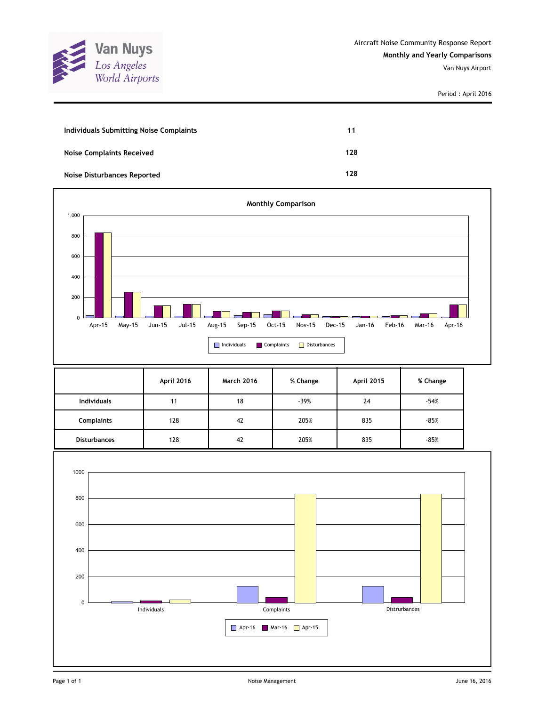

| Individuals Submitting Noise Complaints | 11  |
|-----------------------------------------|-----|
| <b>Noise Complaints Received</b>        | 128 |
| <b>Noise Disturbances Reported</b>      | 128 |



|                     | April 2016 | <b>March 2016</b> | % Change | April 2015 | % Change |
|---------------------|------------|-------------------|----------|------------|----------|
| <b>Individuals</b>  | 11         | 18                | $-39%$   | 24         | $-54%$   |
| <b>Complaints</b>   | 128        | 42                | 205%     | 835        | $-85%$   |
| <b>Disturbances</b> | 128        | 42                | 205%     | 835        | $-85%$   |

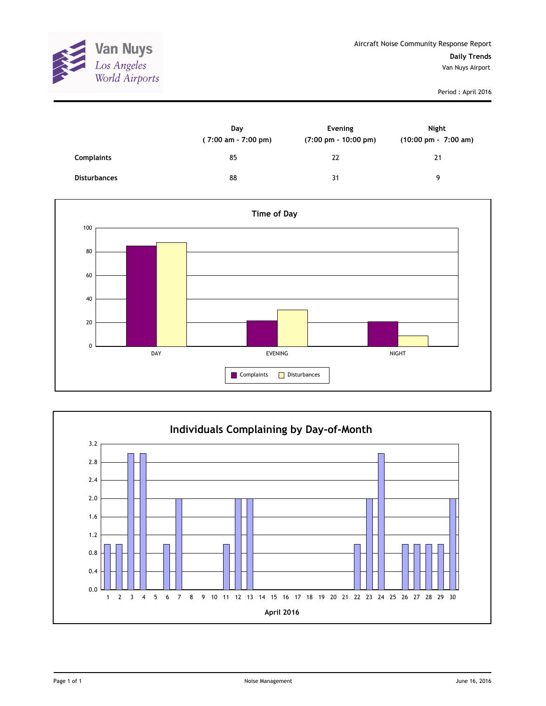

|                     | Day<br>(7:00 am - 7:00 pm) | Evening<br>$(7:00 \text{ pm} - 10:00 \text{ pm})$ | Night<br>$(10:00 \text{ pm} - 7:00 \text{ am})$ |
|---------------------|----------------------------|---------------------------------------------------|-------------------------------------------------|
| <b>Complaints</b>   | 85                         | 22                                                | 21                                              |
| <b>Disturbances</b> | 88                         | 31                                                | q                                               |



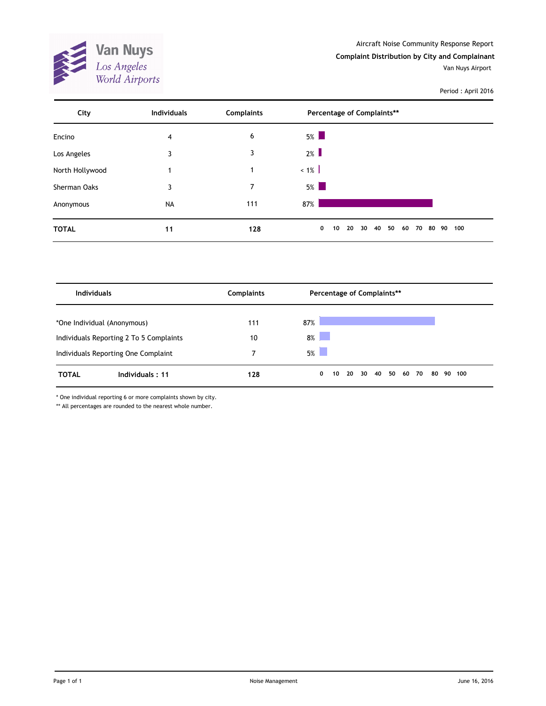

Aircraft Noise Community Response Report **Complaint Distribution by City and Complainant**

Van Nuys Airport

Period : April 2016

| City            | <b>Individuals</b> | <b>Complaints</b> | Percentage of Complaints**                                         |  |
|-----------------|--------------------|-------------------|--------------------------------------------------------------------|--|
| Encino          | 4                  | 6                 | $5\%$                                                              |  |
| Los Angeles     | 3                  | 3                 | 2%                                                                 |  |
| North Hollywood | 1                  |                   | $< 1\%$                                                            |  |
| Sherman Oaks    | 3                  | 7                 | $5\%$                                                              |  |
| Anonymous       | <b>NA</b>          | 111               | 87%                                                                |  |
| <b>TOTAL</b>    | 11                 | 128               | 50<br>$\mathbf 0$<br>40<br>60<br>10<br>20<br>30<br>70<br>80 90 100 |  |

| <b>Individuals</b>          |                                         | <b>Complaints</b> | Percentage of Complaints**                                     |  |
|-----------------------------|-----------------------------------------|-------------------|----------------------------------------------------------------|--|
| *One Individual (Anonymous) |                                         | 111               | 87%                                                            |  |
|                             | Individuals Reporting 2 To 5 Complaints | 10                | 8%                                                             |  |
|                             | Individuals Reporting One Complaint     |                   | 5%                                                             |  |
| <b>TOTAL</b>                | Individuals: 11                         | 128               | 40<br>50<br>20<br>30<br>60<br>70<br>80<br>90<br>0<br>10<br>100 |  |

\* One individual reporting 6 or more complaints shown by city.

\*\* All percentages are rounded to the nearest whole number.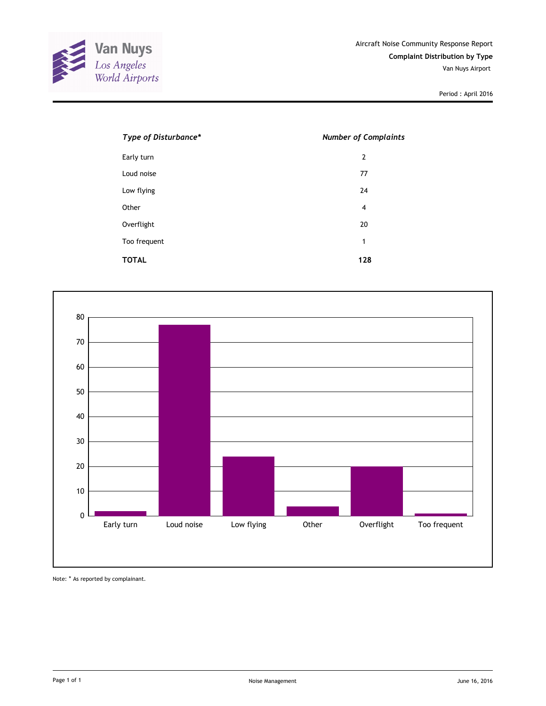

| Type of Disturbance* | <b>Number of Complaints</b> |
|----------------------|-----------------------------|
| Early turn           | $\overline{2}$              |
| Loud noise           | 77                          |
| Low flying           | 24                          |
| Other                | $\overline{4}$              |
| Overflight           | 20                          |
| Too frequent         | 1                           |
| <b>TOTAL</b>         | 128                         |



Note: \* As reported by complainant.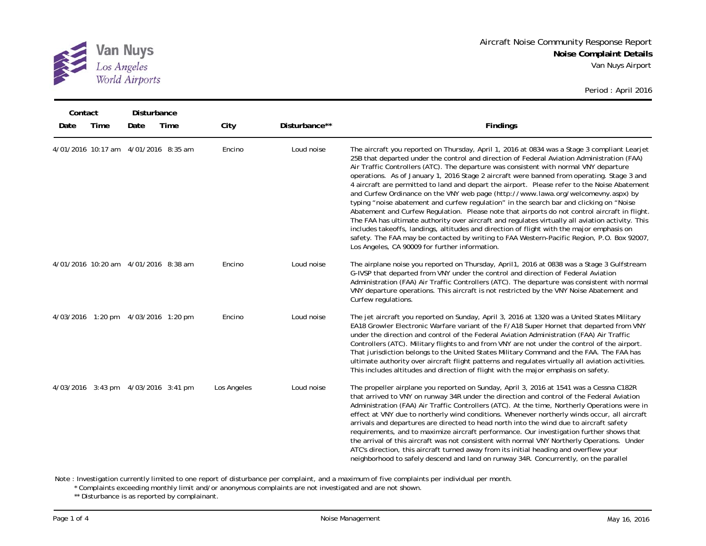

| Contact<br>Date | Time | <b>Disturbance</b><br>Date           | Time | City        | Disturbance** | <b>Findings</b>                                                                                                                                                                                                                                                                                                                                                                                                                                                                                                                                                                                                                                                                                                                                                                                                                                                                                                                                                                                                                                                                                                     |
|-----------------|------|--------------------------------------|------|-------------|---------------|---------------------------------------------------------------------------------------------------------------------------------------------------------------------------------------------------------------------------------------------------------------------------------------------------------------------------------------------------------------------------------------------------------------------------------------------------------------------------------------------------------------------------------------------------------------------------------------------------------------------------------------------------------------------------------------------------------------------------------------------------------------------------------------------------------------------------------------------------------------------------------------------------------------------------------------------------------------------------------------------------------------------------------------------------------------------------------------------------------------------|
|                 |      | 4/01/2016 10:17 am 4/01/2016 8:35 am |      | Encino      | Loud noise    | The aircraft you reported on Thursday, April 1, 2016 at 0834 was a Stage 3 compliant Learjet<br>25B that departed under the control and direction of Federal Aviation Administration (FAA)<br>Air Traffic Controllers (ATC). The departure was consistent with normal VNY departure<br>operations. As of January 1, 2016 Stage 2 aircraft were banned from operating. Stage 3 and<br>4 aircraft are permitted to land and depart the airport. Please refer to the Noise Abatement<br>and Curfew Ordinance on the VNY web page (http://www.lawa.org/welcomevny.aspx) by<br>typing "noise abatement and curfew regulation" in the search bar and clicking on "Noise<br>Abatement and Curfew Regulation. Please note that airports do not control aircraft in flight.<br>The FAA has ultimate authority over aircraft and regulates virtually all aviation activity. This<br>includes takeoffs, landings, altitudes and direction of flight with the major emphasis on<br>safety. The FAA may be contacted by writing to FAA Western-Pacific Region, P.O. Box 92007,<br>Los Angeles, CA 90009 for further information. |
|                 |      | 4/01/2016 10:20 am 4/01/2016 8:38 am |      | Encino      | Loud noise    | The airplane noise you reported on Thursday, April 1, 2016 at 0838 was a Stage 3 Gulfstream<br>G-IVSP that departed from VNY under the control and direction of Federal Aviation<br>Administration (FAA) Air Traffic Controllers (ATC). The departure was consistent with normal<br>VNY departure operations. This aircraft is not restricted by the VNY Noise Abatement and<br>Curfew regulations.                                                                                                                                                                                                                                                                                                                                                                                                                                                                                                                                                                                                                                                                                                                 |
|                 |      | 4/03/2016 1:20 pm 4/03/2016 1:20 pm  |      | Encino      | Loud noise    | The jet aircraft you reported on Sunday, April 3, 2016 at 1320 was a United States Military<br>EA18 Growler Electronic Warfare variant of the F/A18 Super Hornet that departed from VNY<br>under the direction and control of the Federal Aviation Administration (FAA) Air Traffic<br>Controllers (ATC). Military flights to and from VNY are not under the control of the airport.<br>That jurisdiction belongs to the United States Military Command and the FAA. The FAA has<br>ultimate authority over aircraft flight patterns and regulates virtually all aviation activities.<br>This includes altitudes and direction of flight with the major emphasis on safety.                                                                                                                                                                                                                                                                                                                                                                                                                                         |
|                 |      | 4/03/2016 3:43 pm 4/03/2016 3:41 pm  |      | Los Angeles | Loud noise    | The propeller airplane you reported on Sunday, April 3, 2016 at 1541 was a Cessna C182R<br>that arrived to VNY on runway 34R under the direction and control of the Federal Aviation<br>Administration (FAA) Air Traffic Controllers (ATC). At the time, Northerly Operations were in<br>effect at VNY due to northerly wind conditions. Whenever northerly winds occur, all aircraft<br>arrivals and departures are directed to head north into the wind due to aircraft safety<br>requirements, and to maximize aircraft performance. Our investigation further shows that<br>the arrival of this aircraft was not consistent with normal VNY Northerly Operations. Under<br>ATC's direction, this aircraft turned away from its initial heading and overflew your<br>neighborhood to safely descend and land on runway 34R. Concurrently, on the parallel                                                                                                                                                                                                                                                        |

Note : Investigation currently limited to one report of disturbance per complaint, and a maximum of five complaints per individual per month.

\* Complaints exceeding monthly limit and/or anonymous complaints are not investigated and are not shown.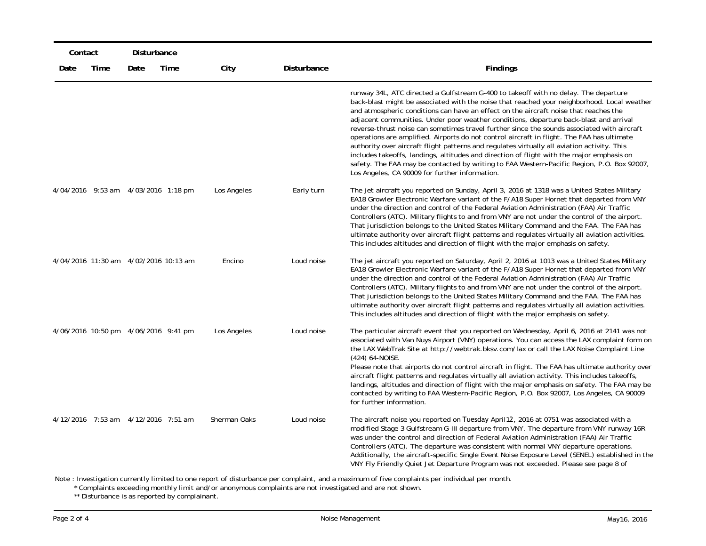|      | Contact<br>Disturbance |                                       |      |              |             |                                                                                                                                                                                                                                                                                                                                                                                                                                                                                                                                                                                                                                                                                                                                                                                                                                                                                                              |
|------|------------------------|---------------------------------------|------|--------------|-------------|--------------------------------------------------------------------------------------------------------------------------------------------------------------------------------------------------------------------------------------------------------------------------------------------------------------------------------------------------------------------------------------------------------------------------------------------------------------------------------------------------------------------------------------------------------------------------------------------------------------------------------------------------------------------------------------------------------------------------------------------------------------------------------------------------------------------------------------------------------------------------------------------------------------|
| Date | Time                   | Date                                  | Time | City         | Disturbance | Findings                                                                                                                                                                                                                                                                                                                                                                                                                                                                                                                                                                                                                                                                                                                                                                                                                                                                                                     |
|      |                        |                                       |      |              |             | runway 34L, ATC directed a Gulfstream G-400 to takeoff with no delay. The departure<br>back-blast might be associated with the noise that reached your neighborhood. Local weather<br>and atmospheric conditions can have an effect on the aircraft noise that reaches the<br>adjacent communities. Under poor weather conditions, departure back-blast and arrival<br>reverse-thrust noise can sometimes travel further since the sounds associated with aircraft<br>operations are amplified. Airports do not control aircraft in flight. The FAA has ultimate<br>authority over aircraft flight patterns and regulates virtually all aviation activity. This<br>includes takeoffs, landings, altitudes and direction of flight with the major emphasis on<br>safety. The FAA may be contacted by writing to FAA Western-Pacific Region, P.O. Box 92007,<br>Los Angeles, CA 90009 for further information. |
|      |                        | 4/04/2016 9:53 am 4/03/2016 1:18 pm   |      | Los Angeles  | Early turn  | The jet aircraft you reported on Sunday, April 3, 2016 at 1318 was a United States Military<br>EA18 Growler Electronic Warfare variant of the F/A18 Super Hornet that departed from VNY<br>under the direction and control of the Federal Aviation Administration (FAA) Air Traffic<br>Controllers (ATC). Military flights to and from VNY are not under the control of the airport.<br>That jurisdiction belongs to the United States Military Command and the FAA. The FAA has<br>ultimate authority over aircraft flight patterns and regulates virtually all aviation activities.<br>This includes altitudes and direction of flight with the major emphasis on safety.                                                                                                                                                                                                                                  |
|      |                        | 4/04/2016 11:30 am 4/02/2016 10:13 am |      | Encino       | Loud noise  | The jet aircraft you reported on Saturday, April 2, 2016 at 1013 was a United States Military<br>EA18 Growler Electronic Warfare variant of the F/A18 Super Hornet that departed from VNY<br>under the direction and control of the Federal Aviation Administration (FAA) Air Traffic<br>Controllers (ATC). Military flights to and from VNY are not under the control of the airport.<br>That jurisdiction belongs to the United States Military Command and the FAA. The FAA has<br>ultimate authority over aircraft flight patterns and regulates virtually all aviation activities.<br>This includes altitudes and direction of flight with the major emphasis on safety.                                                                                                                                                                                                                                |
|      |                        | 4/06/2016 10:50 pm 4/06/2016 9:41 pm  |      | Los Angeles  | Loud noise  | The particular aircraft event that you reported on Wednesday, April 6, 2016 at 2141 was not<br>associated with Van Nuys Airport (VNY) operations. You can access the LAX complaint form on<br>the LAX WebTrak Site at http://webtrak.bksv.com/lax or call the LAX Noise Complaint Line<br>(424) 64-NOISE.<br>Please note that airports do not control aircraft in flight. The FAA has ultimate authority over<br>aircraft flight patterns and regulates virtually all aviation activity. This includes takeoffs,<br>landings, altitudes and direction of flight with the major emphasis on safety. The FAA may be<br>contacted by writing to FAA Western-Pacific Region, P.O. Box 92007, Los Angeles, CA 90009<br>for further information.                                                                                                                                                                   |
|      |                        | 4/12/2016 7:53 am 4/12/2016 7:51 am   |      | Sherman Oaks | Loud noise  | The aircraft noise you reported on Tuesday April 12, 2016 at 0751 was associated with a<br>modified Stage 3 Gulfstream G-III departure from VNY. The departure from VNY runway 16R<br>was under the control and direction of Federal Aviation Administration (FAA) Air Traffic<br>Controllers (ATC). The departure was consistent with normal VNY departure operations.<br>Additionally, the aircraft-specific Single Event Noise Exposure Level (SENEL) established in the<br>VNY Fly Friendly Quiet Jet Departure Program was not exceeded. Please see page 8 of                                                                                                                                                                                                                                                                                                                                           |

Note : Investigation currently limited to one report of disturbance per complaint, and a maximum of five complaints per individual per month<br>\* Complaints exceeding monthly limit and/or anonymous complaints are not investig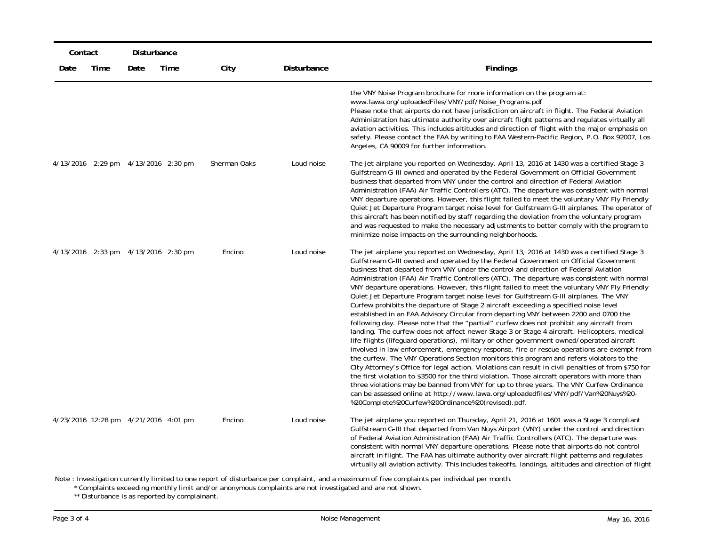|      | Contact<br>Disturbance |                                       |      |              |             |                                                                                                                                                                                                                                                                                                                                                                                                                                                                                                                                                                                                                                                                                                                                                                                                                                                                                                                                                                                                                                                                                                                                                                                                                                                                                                                                                                                                                                                                                                                                                                                                                                                                                      |  |  |
|------|------------------------|---------------------------------------|------|--------------|-------------|--------------------------------------------------------------------------------------------------------------------------------------------------------------------------------------------------------------------------------------------------------------------------------------------------------------------------------------------------------------------------------------------------------------------------------------------------------------------------------------------------------------------------------------------------------------------------------------------------------------------------------------------------------------------------------------------------------------------------------------------------------------------------------------------------------------------------------------------------------------------------------------------------------------------------------------------------------------------------------------------------------------------------------------------------------------------------------------------------------------------------------------------------------------------------------------------------------------------------------------------------------------------------------------------------------------------------------------------------------------------------------------------------------------------------------------------------------------------------------------------------------------------------------------------------------------------------------------------------------------------------------------------------------------------------------------|--|--|
| Date | Time                   | Date                                  | Time | City         | Disturbance | <b>Findings</b>                                                                                                                                                                                                                                                                                                                                                                                                                                                                                                                                                                                                                                                                                                                                                                                                                                                                                                                                                                                                                                                                                                                                                                                                                                                                                                                                                                                                                                                                                                                                                                                                                                                                      |  |  |
|      |                        |                                       |      |              |             | the VNY Noise Program brochure for more information on the program at:<br>www.lawa.org/uploadedFiles/VNY/pdf/Noise_Programs.pdf<br>Please note that airports do not have jurisdiction on aircraft in flight. The Federal Aviation<br>Administration has ultimate authority over aircraft flight patterns and regulates virtually all<br>aviation activities. This includes altitudes and direction of flight with the major emphasis on<br>safety. Please contact the FAA by writing to FAA Western-Pacific Region, P.O. Box 92007, Los<br>Angeles, CA 90009 for further information.                                                                                                                                                                                                                                                                                                                                                                                                                                                                                                                                                                                                                                                                                                                                                                                                                                                                                                                                                                                                                                                                                                |  |  |
|      |                        | 4/13/2016 2:29 pm 4/13/2016 2:30 pm   |      | Sherman Oaks | Loud noise  | The jet airplane you reported on Wednesday, April 13, 2016 at 1430 was a certified Stage 3<br>Gulfstream G-III owned and operated by the Federal Government on Official Government<br>business that departed from VNY under the control and direction of Federal Aviation<br>Administration (FAA) Air Traffic Controllers (ATC). The departure was consistent with normal<br>VNY departure operations. However, this flight failed to meet the voluntary VNY Fly Friendly<br>Quiet Jet Departure Program target noise level for Gulfstream G-III airplanes. The operator of<br>this aircraft has been notified by staff regarding the deviation from the voluntary program<br>and was requested to make the necessary adjustments to better comply with the program to<br>minimize noise impacts on the surrounding neighborhoods.                                                                                                                                                                                                                                                                                                                                                                                                                                                                                                                                                                                                                                                                                                                                                                                                                                                   |  |  |
|      |                        | 4/13/2016 2:33 pm 4/13/2016 2:30 pm   |      | Encino       | Loud noise  | The jet airplane you reported on Wednesday, April 13, 2016 at 1430 was a certified Stage 3<br>Gulfstream G-III owned and operated by the Federal Government on Official Government<br>business that departed from VNY under the control and direction of Federal Aviation<br>Administration (FAA) Air Traffic Controllers (ATC). The departure was consistent with normal<br>VNY departure operations. However, this flight failed to meet the voluntary VNY Fly Friendly<br>Quiet Jet Departure Program target noise level for Gulfstream G-III airplanes. The VNY<br>Curfew prohibits the departure of Stage 2 aircraft exceeding a specified noise level<br>established in an FAA Advisory Circular from departing VNY between 2200 and 0700 the<br>following day. Please note that the "partial" curfew does not prohibit any aircraft from<br>landing. The curfew does not affect newer Stage 3 or Stage 4 aircraft. Helicopters, medical<br>life-flights (lifeguard operations), military or other government owned/operated aircraft<br>involved in law enforcement, emergency response, fire or rescue operations are exempt from<br>the curfew. The VNY Operations Section monitors this program and refers violators to the<br>City Attorney's Office for legal action. Violations can result in civil penalties of from \$750 for<br>the first violation to \$3500 for the third violation. Those aircraft operators with more than<br>three violations may be banned from VNY for up to three years. The VNY Curfew Ordinance<br>can be assessed online at http://www.lawa.org/uploadedfiles/VNY/pdf/Van%20Nuys%20-<br>%20Complete%20Curfew%20Ordinance%20(revised).pdf. |  |  |
|      |                        | 4/23/2016 12:28 pm  4/21/2016 4:01 pm |      | Encino       | Loud noise  | The jet airplane you reported on Thursday, April 21, 2016 at 1601 was a Stage 3 compliant<br>Gulfstream G-III that departed from Van Nuys Airport (VNY) under the control and direction<br>of Federal Aviation Administration (FAA) Air Traffic Controllers (ATC). The departure was<br>consistent with normal VNY departure operations. Please note that airports do not control<br>aircraft in flight. The FAA has ultimate authority over aircraft flight patterns and regulates<br>virtually all aviation activity. This includes take offs, landings, altitudes and direction of flight                                                                                                                                                                                                                                                                                                                                                                                                                                                                                                                                                                                                                                                                                                                                                                                                                                                                                                                                                                                                                                                                                         |  |  |

Note : Investigation currently limited to one report of disturbance per complaint, and a maximum of five complaints per individual per month<br>\* Complaints exceeding monthly limit and/or anonymous complaints are not investig